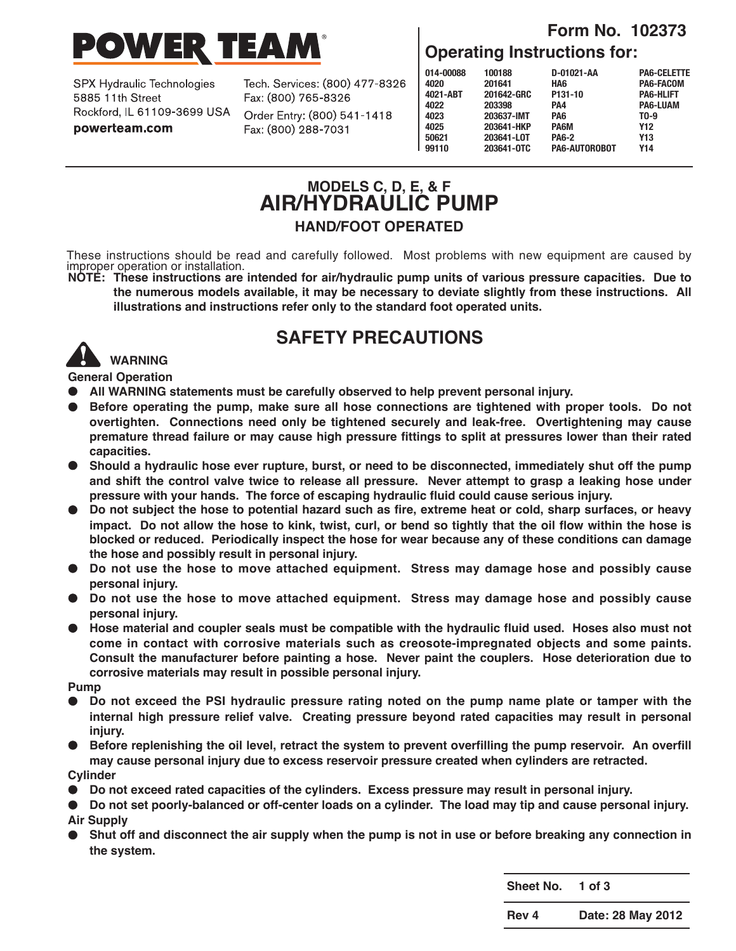

SPX Hydraulic Technologies 5885 11th Street Rockford, IL 61109-3699 USA powerteam.com

Tech. Services: (800) 477-8326 Fax: (800) 765-8326

Order Entry: (800) 541-1418 Fax: (800) 288-7031

### **Form No. 102373 Operating Instructions for:**

| 014-00088 | 100188     | D-01021-AA    | <b>PA6-CELETTE</b> |
|-----------|------------|---------------|--------------------|
| 4020      | 201641     | HA6           | PA6-FACOM          |
| 4021-ABT  | 201642-GRC | P131-10       | <b>PA6-HLIFT</b>   |
| 4022      | 203398     | PA4           | <b>PA6-LUAM</b>    |
| 4023      | 203637-IMT | PA6           | T <sub>0</sub> -9  |
| 4025      | 203641-HKP | <b>PA6M</b>   | <b>Y12</b>         |
| 50621     | 203641-LOT | <b>PA6-2</b>  | Y13                |
| 99110     | 203641-0TC | PA6-AUTOROBOT | Y14                |
|           |            |               |                    |

## **MODELS C, D, E, & F AIR/HYDRAULIC PUMP HAND/FOOT OPERATED**

These instructions should be read and carefully followed. Most problems with new equipment are caused by improper operation or installation.<br>
NOTE: These instructions are intended for air/hydraulic pump units of various pr

**the numerous models available, it may be necessary to deviate slightly from these instructions. All illustrations and instructions refer only to the standard foot operated units.**

# **SAFETY PRECAUTIONS**



**General Operation**

- **● All WARNING statements must be carefully observed to help prevent personal injury.**
- **● Before operating the pump, make sure all hose connections are tightened with proper tools. Do not overtighten. Connections need only be tightened securely and leak-free. Overtightening may cause premature thread failure or may cause high pressure fittings to split at pressures lower than their rated capacities.**
- Should a hydraulic hose ever rupture, burst, or need to be disconnected, immediately shut off the pump and shift the control valve twice to release all pressure. Never attempt to grasp a leaking hose under **pressure with your hands. The force of escaping hydraulic fluid could cause serious injury.**
- Do not subject the hose to potential hazard such as fire, extreme heat or cold, sharp surfaces, or heavy impact. Do not allow the hose to kink, twist, curl, or bend so tightly that the oil flow within the hose is **blocked or reduced. Periodically inspect the hose for wear because any of these conditions can damage the hose and possibly result in personal injury.**
- **● Do not use the hose to move attached equipment. Stress may damage hose and possibly cause personal injury.**
- **● Do not use the hose to move attached equipment. Stress may damage hose and possibly cause personal injury.**
- Hose material and coupler seals must be compatible with the hydraulic fluid used. Hoses also must not **come in contact with corrosive materials such as creosote-impregnated objects and some paints. Consult the manufacturer before painting a hose. Never paint the couplers. Hose deterioration due to corrosive materials may result in possible personal injury.**

**Pump**

- Do not exceed the PSI hydraulic pressure rating noted on the pump name plate or tamper with the **internal high pressure relief valve. Creating pressure beyond rated capacities may result in personal injury.**
- Before replenishing the oil level, retract the system to prevent overfilling the pump reservoir. An overfill **may cause personal injury due to excess reservoir pressure created when cylinders are retracted.**

**Cylinder**

- **● Do not exceed rated capacities of the cylinders. Excess pressure may result in personal injury.**
- Do not set poorly-balanced or off-center loads on a cylinder. The load may tip and cause personal injury. **Air Supply**
- Shut off and disconnect the air supply when the pump is not in use or before breaking any connection in **the system.**

**Sheet No. 1 of 3**

**Rev 4 Date: 28 May 2012**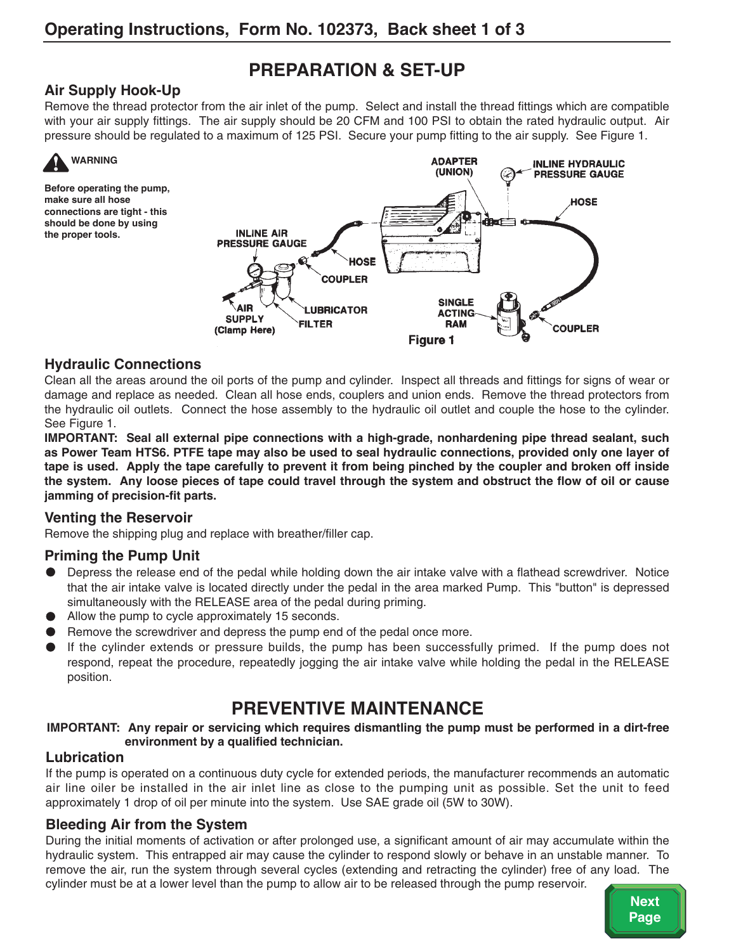# **PREPARATION & SET-UP**

#### **Air Supply Hook-Up**

Remove the thread protector from the air inlet of the pump. Select and install the thread fittings which are compatible with your air supply fittings. The air supply should be 20 CFM and 100 PSI to obtain the rated hydraulic output. Air pressure should be regulated to a maximum of 125 PSI. Secure your pump fitting to the air supply. See Figure 1.



**Before operating the pump, make sure all hose connections are tight - this should be done by using the proper tools.**



#### **Hydraulic Connections**

Clean all the areas around the oil ports of the pump and cylinder. Inspect all threads and fittings for signs of wear or damage and replace as needed. Clean all hose ends, couplers and union ends. Remove the thread protectors from the hydraulic oil outlets. Connect the hose assembly to the hydraulic oil outlet and couple the hose to the cylinder. See Figure 1.

**IMPORTANT: Seal all external pipe connections with a high-grade, nonhardening pipe thread sealant, such** as Power Team HTS6. PTFE tape may also be used to seal hydraulic connections, provided only one layer of tape is used. Apply the tape carefully to prevent it from being pinched by the coupler and broken off inside the system. Any loose pieces of tape could travel through the system and obstruct the flow of oil or cause **jamming of precision-fit parts.**

#### **Venting the Reservoir**

Remove the shipping plug and replace with breather/filler cap.

#### **Priming the Pump Unit**

- **●** Depress the release end of the pedal while holding down the air intake valve with a flathead screwdriver. Notice that the air intake valve is located directly under the pedal in the area marked Pump. This "button" is depressed simultaneously with the RELEASE area of the pedal during priming.
- **●** Allow the pump to cycle approximately 15 seconds.
- **●** Remove the screwdriver and depress the pump end of the pedal once more.
- **●** If the cylinder extends or pressure builds, the pump has been successfully primed. If the pump does not respond, repeat the procedure, repeatedly jogging the air intake valve while holding the pedal in the RELEASE position.

# **PREVENTIVE MAINTENANCE**

**IMPORTANT: Any repair or servicing which requires dismantling the pump must be performed in a dirt-free environment by a qualified technician.**

#### **Lubrication**

If the pump is operated on a continuous duty cycle for extended periods, the manufacturer recommends an automatic air line oiler be installed in the air inlet line as close to the pumping unit as possible. Set the unit to feed approximately 1 drop of oil per minute into the system. Use SAE grade oil (5W to 30W).

#### **Bleeding Air from the System**

During the initial moments of activation or after prolonged use, a significant amount of air may accumulate within the hydraulic system. This entrapped air may cause the cylinder to respond slowly or behave in an unstable manner. To remove the air, run the system through several cycles (extending and retracting the cylinder) free of any load. The cylinder must be at a lower level than the pump to allow air to be released through the pump reservoir.

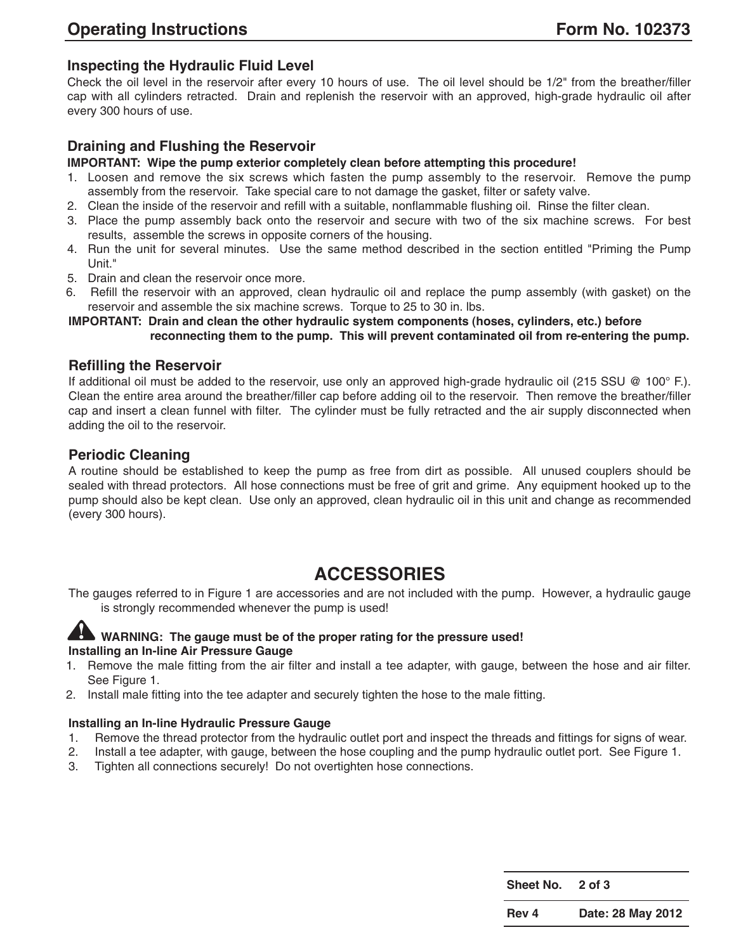#### **Inspecting the Hydraulic Fluid Level**

Check the oil level in the reservoir after every 10 hours of use. The oil level should be 1/2" from the breather/filler cap with all cylinders retracted. Drain and replenish the reservoir with an approved, high-grade hydraulic oil after every 300 hours of use.

#### **Draining and Flushing the Reservoir**

#### **IMPORTANT: Wipe the pump exterior completely clean before attempting this procedure!**

- 1. Loosen and remove the six screws which fasten the pump assembly to the reservoir. Remove the pump assembly from the reservoir. Take special care to not damage the gasket, filter or safety valve.
- 2. Clean the inside of the reservoir and refill with a suitable, nonflammable flushing oil. Rinse the filter clean.
- 3. Place the pump assembly back onto the reservoir and secure with two of the six machine screws. For best results, assemble the screws in opposite corners of the housing.
- 4. Run the unit for several minutes. Use the same method described in the section entitled "Priming the Pump Unit."
- 5. Drain and clean the reservoir once more.
- 6. Refill the reservoir with an approved, clean hydraulic oil and replace the pump assembly (with gasket) on the reservoir and assemble the six machine screws. Torque to 25 to 30 in. lbs.

**IMPORTANT: Drain and clean the other hydraulic system components (hoses, cylinders, etc.) before reconnecting them to the pump. This will prevent contaminated oil from re-entering the pump.**

#### **Refilling the Reservoir**

If additional oil must be added to the reservoir, use only an approved high-grade hydraulic oil (215 SSU @ 100° F.). Clean the entire area around the breather/filler cap before adding oil to the reservoir. Then remove the breather/filler cap and insert a clean funnel with filter. The cylinder must be fully retracted and the air supply disconnected when adding the oil to the reservoir.

#### **Periodic Cleaning**

A routine should be established to keep the pump as free from dirt as possible. All unused couplers should be sealed with thread protectors. All hose connections must be free of grit and grime. Any equipment hooked up to the pump should also be kept clean. Use only an approved, clean hydraulic oil in this unit and change as recommended (every 300 hours).

## **ACCESSORIES**

The gauges referred to in Figure 1 are accessories and are not included with the pump. However, a hydraulic gauge is strongly recommended whenever the pump is used!



#### **WARNING: The gauge must be of the proper rating for the pressure used! Installing an In-line Air Pressure Gauge**

- 1. Remove the male fitting from the air filter and install a tee adapter, with gauge, between the hose and air filter. See Figure 1.
- 2. Install male fitting into the tee adapter and securely tighten the hose to the male fitting.

#### **Installing an In-line Hydraulic Pressure Gauge**

- 1. Remove the thread protector from the hydraulic outlet port and inspect the threads and fittings for signs of wear.
- 2. Install a tee adapter, with gauge, between the hose coupling and the pump hydraulic outlet port. See Figure 1.
- 3. Tighten all connections securely! Do not overtighten hose connections.

**Sheet No. 2 of 3**

**Rev 4 Date: 28 May 2012**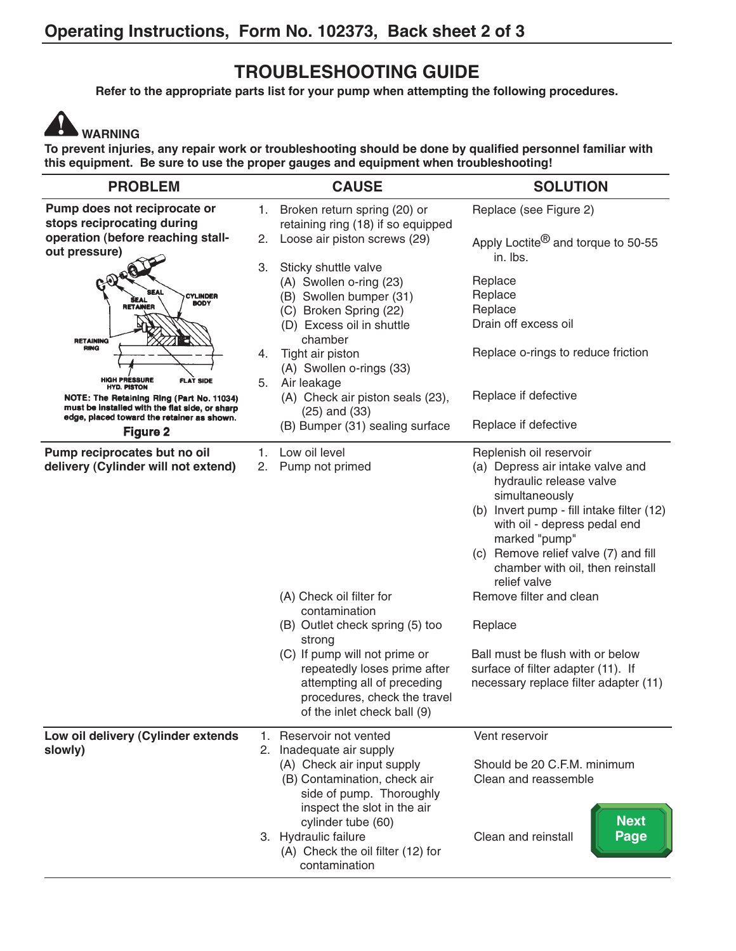## **TROUBLESHOOTING GUIDE**

**Refer to the appropriate parts list for your pump when attempting the following procedures.**

# **WARNING**

**To prevent injuries, any repair work or troubleshooting should be done by qualified personnel familiar with this equipment. Be sure to use the proper gauges and equipment when troubleshooting!**

| <b>PROBLEM</b>                                                                                                                                                                                                                 |          | <b>CAUSE</b>                                                                                                                                                                                                                                                                              | <b>SOLUTION</b>                                                                                                                                                                                                                                                                                                                                                                                                                                             |
|--------------------------------------------------------------------------------------------------------------------------------------------------------------------------------------------------------------------------------|----------|-------------------------------------------------------------------------------------------------------------------------------------------------------------------------------------------------------------------------------------------------------------------------------------------|-------------------------------------------------------------------------------------------------------------------------------------------------------------------------------------------------------------------------------------------------------------------------------------------------------------------------------------------------------------------------------------------------------------------------------------------------------------|
| Pump does not reciprocate or<br>stops reciprocating during<br>operation (before reaching stall-<br>out pressure)                                                                                                               | 1.<br>2. | Broken return spring (20) or<br>retaining ring (18) if so equipped<br>Loose air piston screws (29)                                                                                                                                                                                        | Replace (see Figure 2)<br>Apply Loctite <sup>®</sup> and torque to 50-55<br>in. Ibs.                                                                                                                                                                                                                                                                                                                                                                        |
| <b>SEAL</b><br><b>CYLINDER</b><br><b>BODY</b><br><b>RETAINER</b><br><b>RETAINING</b><br><b>RING</b>                                                                                                                            | 3.<br>4. | Sticky shuttle valve<br>(A) Swollen o-ring (23)<br>(B) Swollen bumper (31)<br>(C) Broken Spring (22)<br>(D) Excess oil in shuttle<br>chamber<br>Tight air piston<br>(A) Swollen o-rings (33)                                                                                              | Replace<br>Replace<br>Replace<br>Drain off excess oil<br>Replace o-rings to reduce friction                                                                                                                                                                                                                                                                                                                                                                 |
| <b>HIGH PRESSURE</b><br><b>FLAT SIDE</b><br><b>HYD. PISTON</b><br>NOTE: The Retaining Ring (Part No. 11034)<br>must be installed with the flat side, or sharp<br>edge, placed toward the retainer as shown.<br><b>Figure 2</b> |          | Air leakage<br>(A) Check air piston seals (23),<br>$(25)$ and $(33)$<br>(B) Bumper (31) sealing surface                                                                                                                                                                                   | Replace if defective<br>Replace if defective                                                                                                                                                                                                                                                                                                                                                                                                                |
| Pump reciprocates but no oil<br>delivery (Cylinder will not extend)                                                                                                                                                            | 1.<br>2. | Low oil level<br>Pump not primed<br>(A) Check oil filter for<br>contamination<br>(B) Outlet check spring (5) too<br>strong<br>(C) If pump will not prime or<br>repeatedly loses prime after<br>attempting all of preceding<br>procedures, check the travel<br>of the inlet check ball (9) | Replenish oil reservoir<br>(a) Depress air intake valve and<br>hydraulic release valve<br>simultaneously<br>(b) Invert pump - fill intake filter (12)<br>with oil - depress pedal end<br>marked "pump"<br>(c) Remove relief valve (7) and fill<br>chamber with oil, then reinstall<br>relief valve<br>Remove filter and clean<br>Replace<br>Ball must be flush with or below<br>surface of filter adapter (11). If<br>necessary replace filter adapter (11) |
| Low oil delivery (Cylinder extends<br>slowly)                                                                                                                                                                                  | 1.       | Reservoir not vented<br>2. Inadequate air supply<br>(A) Check air input supply<br>(B) Contamination, check air<br>side of pump. Thoroughly<br>inspect the slot in the air<br>cylinder tube (60)<br>3. Hydraulic failure<br>(A) Check the oil filter (12) for<br>contamination             | Vent reservoir<br>Should be 20 C.F.M. minimum<br>Clean and reassemble<br><b>Next</b><br>Page<br>Clean and reinstall                                                                                                                                                                                                                                                                                                                                         |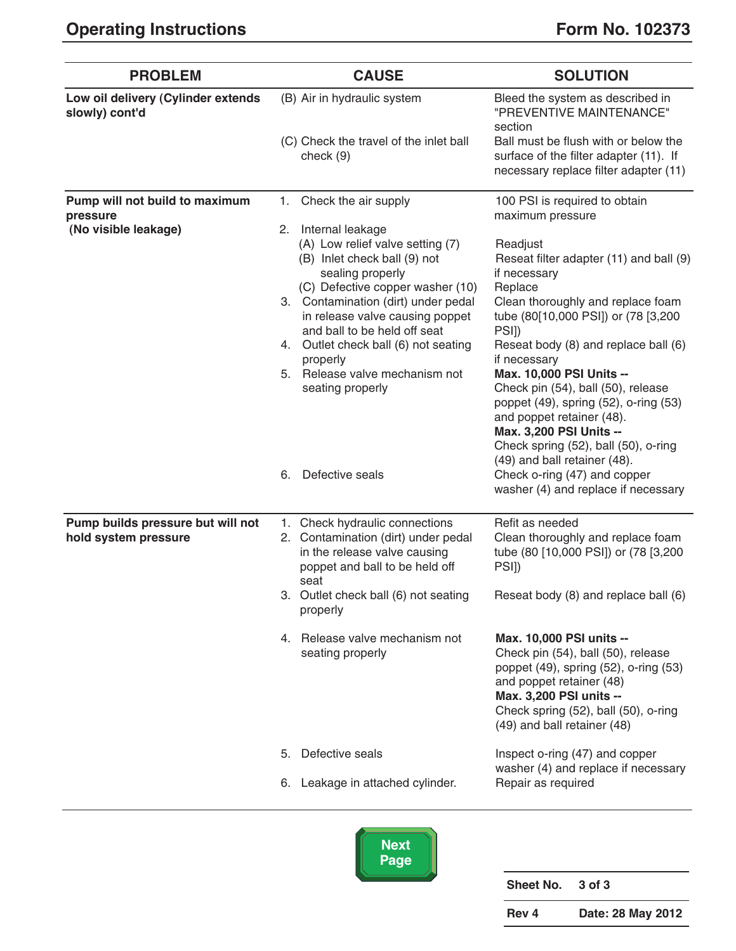| <b>PROBLEM</b>                                                     | <b>CAUSE</b>                                                                                                                                                                                                                                                                                                                                                                                      | <b>SOLUTION</b>                                                                                                                                                                                                                                                                                                                                                                                                                                                                                                             |
|--------------------------------------------------------------------|---------------------------------------------------------------------------------------------------------------------------------------------------------------------------------------------------------------------------------------------------------------------------------------------------------------------------------------------------------------------------------------------------|-----------------------------------------------------------------------------------------------------------------------------------------------------------------------------------------------------------------------------------------------------------------------------------------------------------------------------------------------------------------------------------------------------------------------------------------------------------------------------------------------------------------------------|
| Low oil delivery (Cylinder extends<br>slowly) cont'd               | (B) Air in hydraulic system<br>(C) Check the travel of the inlet ball<br>check (9)                                                                                                                                                                                                                                                                                                                | Bleed the system as described in<br>"PREVENTIVE MAINTENANCE"<br>section<br>Ball must be flush with or below the<br>surface of the filter adapter (11). If<br>necessary replace filter adapter (11)                                                                                                                                                                                                                                                                                                                          |
| Pump will not build to maximum<br>pressure<br>(No visible leakage) | Check the air supply<br>1.<br>2. Internal leakage<br>(A) Low relief valve setting (7)<br>(B) Inlet check ball (9) not<br>sealing properly<br>(C) Defective copper washer (10)<br>3. Contamination (dirt) under pedal<br>in release valve causing poppet<br>and ball to be held off seat<br>4. Outlet check ball (6) not seating<br>properly<br>5. Release valve mechanism not<br>seating properly | 100 PSI is required to obtain<br>maximum pressure<br>Readjust<br>Reseat filter adapter (11) and ball (9)<br>if necessary<br>Replace<br>Clean thoroughly and replace foam<br>tube (80[10,000 PSI]) or (78 [3,200<br>PSI])<br>Reseat body (8) and replace ball (6)<br>if necessary<br>Max. 10,000 PSI Units --<br>Check pin (54), ball (50), release<br>poppet (49), spring (52), o-ring (53)<br>and poppet retainer (48).<br>Max. 3,200 PSI Units --<br>Check spring (52), ball (50), o-ring<br>(49) and ball retainer (48). |
|                                                                    | Defective seals<br>6.                                                                                                                                                                                                                                                                                                                                                                             | Check o-ring (47) and copper<br>washer (4) and replace if necessary                                                                                                                                                                                                                                                                                                                                                                                                                                                         |
| Pump builds pressure but will not<br>hold system pressure          | 1. Check hydraulic connections<br>2. Contamination (dirt) under pedal<br>in the release valve causing<br>poppet and ball to be held off<br>seat<br>3. Outlet check ball (6) not seating<br>properly                                                                                                                                                                                               | Refit as needed<br>Clean thoroughly and replace foam<br>tube (80 [10,000 PSI]) or (78 [3,200<br>PSI)<br>Reseat body (8) and replace ball (6)                                                                                                                                                                                                                                                                                                                                                                                |
|                                                                    | 4. Release valve mechanism not<br>seating properly                                                                                                                                                                                                                                                                                                                                                | Max. 10,000 PSI units --<br>Check pin (54), ball (50), release<br>poppet (49), spring (52), o-ring (53)<br>and poppet retainer (48)<br>Max. 3,200 PSI units --<br>Check spring (52), ball (50), o-ring<br>(49) and ball retainer (48)                                                                                                                                                                                                                                                                                       |
|                                                                    | Defective seals<br>5.<br>6. Leakage in attached cylinder.                                                                                                                                                                                                                                                                                                                                         | Inspect o-ring (47) and copper<br>washer (4) and replace if necessary<br>Repair as required                                                                                                                                                                                                                                                                                                                                                                                                                                 |
|                                                                    |                                                                                                                                                                                                                                                                                                                                                                                                   |                                                                                                                                                                                                                                                                                                                                                                                                                                                                                                                             |



**Sheet No. 3 of 3 Rev 4 Date: 28 May 2012**